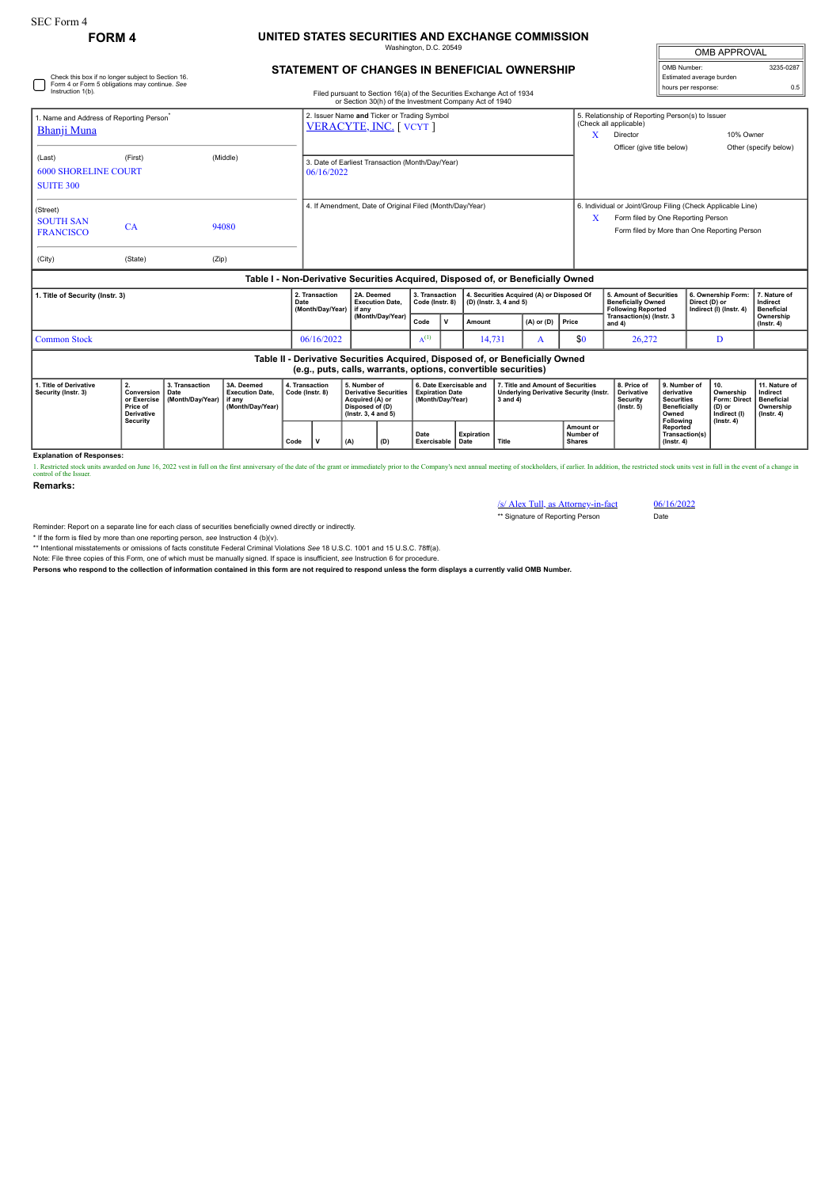## SEC Form 4

## **FORM 4 UNITED STATES SECURITIES AND EXCHANGE COMMISSION** Washington, D.C. 20549

| <b>OMB APPROVAL</b>      |           |  |  |  |  |  |  |  |  |
|--------------------------|-----------|--|--|--|--|--|--|--|--|
| OMB Number:              | 3235-0287 |  |  |  |  |  |  |  |  |
| Estimated average burden |           |  |  |  |  |  |  |  |  |
| hours per response:      | በ 5       |  |  |  |  |  |  |  |  |

**STATEMENT OF CHANGES IN BENEFICIAL OWNERSHIP**

| Check this box if no longer subject to Section 16.<br>Form 4 or Form 5 obligations may continue. See<br>Instruction 1(b).            |         |                                            |                                                                    | Filed pursuant to Section 16(a) of the Securities Exchange Act of 1934 |                                                                                                                                                 |           |                                                                       |        |   |                                                                                                |       |                                                                                                                                                                 | Estimated average burden<br>hours per response: |                                                                                                                                                          |                                                                                 |  |
|--------------------------------------------------------------------------------------------------------------------------------------|---------|--------------------------------------------|--------------------------------------------------------------------|------------------------------------------------------------------------|-------------------------------------------------------------------------------------------------------------------------------------------------|-----------|-----------------------------------------------------------------------|--------|---|------------------------------------------------------------------------------------------------|-------|-----------------------------------------------------------------------------------------------------------------------------------------------------------------|-------------------------------------------------|----------------------------------------------------------------------------------------------------------------------------------------------------------|---------------------------------------------------------------------------------|--|
| 1. Name and Address of Reporting Person <sup>*</sup><br><b>Bhanji Muna</b>                                                           |         |                                            |                                                                    |                                                                        | or Section 30(h) of the Investment Company Act of 1940<br>2. Issuer Name and Ticker or Trading Symbol<br>VERACYTE, INC. [ VCYT ]                |           |                                                                       |        |   |                                                                                                |       | 5. Relationship of Reporting Person(s) to Issuer<br>(Check all applicable)<br>10% Owner<br>X<br>Director<br>Officer (give title below)<br>Other (specify below) |                                                 |                                                                                                                                                          |                                                                                 |  |
| (Last)<br><b>6000 SHORELINE COURT</b><br><b>SUITE 300</b>                                                                            | (First) |                                            | (Middle)                                                           |                                                                        | 3. Date of Earliest Transaction (Month/Day/Year)<br>06/16/2022                                                                                  |           |                                                                       |        |   |                                                                                                |       |                                                                                                                                                                 |                                                 |                                                                                                                                                          |                                                                                 |  |
| (Street)<br><b>SOUTH SAN</b><br><b>FRANCISCO</b>                                                                                     | CA      |                                            | 94080                                                              |                                                                        | 4. If Amendment, Date of Original Filed (Month/Day/Year)                                                                                        |           |                                                                       |        |   |                                                                                                | X     | 6. Individual or Joint/Group Filing (Check Applicable Line)<br>Form filed by One Reporting Person<br>Form filed by More than One Reporting Person               |                                                 |                                                                                                                                                          |                                                                                 |  |
| (City)                                                                                                                               | (State) | (Zip)                                      |                                                                    |                                                                        |                                                                                                                                                 |           |                                                                       |        |   |                                                                                                |       |                                                                                                                                                                 |                                                 |                                                                                                                                                          |                                                                                 |  |
|                                                                                                                                      |         |                                            |                                                                    |                                                                        | Table I - Non-Derivative Securities Acquired, Disposed of, or Beneficially Owned                                                                |           |                                                                       |        |   |                                                                                                |       |                                                                                                                                                                 |                                                 |                                                                                                                                                          |                                                                                 |  |
| 1. Title of Security (Instr. 3)                                                                                                      |         |                                            | 2. Transaction<br>Date<br>(Month/Day/Year)                         | 2A. Deemed<br><b>Execution Date,</b><br>if any<br>(Month/Day/Year)     | 3. Transaction<br>Code (Instr. 8)                                                                                                               |           | 4. Securities Acquired (A) or Disposed Of<br>(D) (Instr. 3, 4 and 5)  |        |   | 5. Amount of Securities<br><b>Beneficially Owned</b><br><b>Following Reported</b>              |       | 6. Ownership Form:<br>Direct (D) or<br>Indirect (I) (Instr. 4)                                                                                                  | 7. Nature of<br>Indirect<br><b>Beneficial</b>   |                                                                                                                                                          |                                                                                 |  |
|                                                                                                                                      |         |                                            |                                                                    |                                                                        |                                                                                                                                                 | Code      | v                                                                     | Amount |   | $(A)$ or $(D)$                                                                                 | Price | Transaction(s) (Instr. 3<br>and $4$ )                                                                                                                           |                                                 |                                                                                                                                                          | Ownership<br>$($ lnstr. 4 $)$                                                   |  |
| <b>Common Stock</b><br>06/16/2022                                                                                                    |         |                                            |                                                                    |                                                                        |                                                                                                                                                 | $A^{(1)}$ |                                                                       | 14,731 | A |                                                                                                | \$0   | 26,272                                                                                                                                                          |                                                 | D                                                                                                                                                        |                                                                                 |  |
|                                                                                                                                      |         |                                            |                                                                    |                                                                        | Table II - Derivative Securities Acquired, Disposed of, or Beneficially Owned<br>(e.g., puts, calls, warrants, options, convertible securities) |           |                                                                       |        |   |                                                                                                |       |                                                                                                                                                                 |                                                 |                                                                                                                                                          |                                                                                 |  |
| 2.<br>1. Title of Derivative<br>Conversion<br>Security (Instr. 3)<br>or Exercise<br>Price of<br><b>Derivative</b><br><b>Security</b> |         | 3. Transaction<br>Date<br>(Month/Day/Year) | 3A. Deemed<br><b>Execution Date,</b><br>if anv<br>(Month/Day/Year) |                                                                        | 5. Number of<br>4. Transaction<br><b>Derivative Securities</b><br>Code (Instr. 8)<br>Acquired (A) or<br>Disposed of (D)<br>(Instr. 3, 4 and 5)  |           | 6. Date Exercisable and<br><b>Expiration Date</b><br>(Month/Day/Year) |        |   | 7. Title and Amount of Securities<br><b>Underlying Derivative Security (Instr.</b><br>3 and 4) |       | 8. Price of<br>Derivative<br><b>Security</b><br>$($ lnstr. 5 $)$                                                                                                |                                                 | 10.<br>9. Number of<br>derivative<br>Ownership<br>Form: Direct<br><b>Securities</b><br><b>Beneficially</b><br>(D) or<br>Indirect (I)<br>$($ Instr. 4 $)$ | 11. Nature of<br>Indirect<br><b>Beneficial</b><br>Ownership<br>$($ lnstr. 4 $)$ |  |
|                                                                                                                                      |         |                                            |                                                                    |                                                                        |                                                                                                                                                 |           |                                                                       |        |   |                                                                                                |       |                                                                                                                                                                 | Following                                       |                                                                                                                                                          |                                                                                 |  |

**Explanation of Responses:**

try of the date of the grant or immediately prior to the Company's next annual meeting of stockholders, if earlier. In addition, the restricted stock units vest in full in the event of a change in 1. Restricted stock units awarded on June 16, 2022 vest in full on the first annivers control of the Issuer.

**Date Exercisable Expiration Date Title**

**Remarks:**

/s/ Alex Tull, as Attorney-in-fact 06/16/2022 \*\* Signature of Reporting Person Date

**Amount or Number of Shares**

**Reported Transaction(s) (Instr. 4)**

Reminder: Report on a separate line for each class of securities beneficially owned directly or indirectly.

\* If the form is filed by more than one reporting person, *see* Instruction 4 (b)(v).

\*\* Intentional misstatements or omissions of facts constitute Federal Criminal Violations *See* 18 U.S.C. 1001 and 15 U.S.C. 78ff(a). Note: File three copies of this Form, one of which must be manually signed. If space is insufficient, *see* Instruction 6 for procedure.

**Persons who respond to the collection of information contained in this form are not required to respond unless the form displays a currently valid OMB Number.**

 $\begin{bmatrix} \text{Code} \\ \text{V} \end{bmatrix}$  (A)  $\begin{bmatrix} \text{(A)} \\ \text{(C)} \end{bmatrix}$